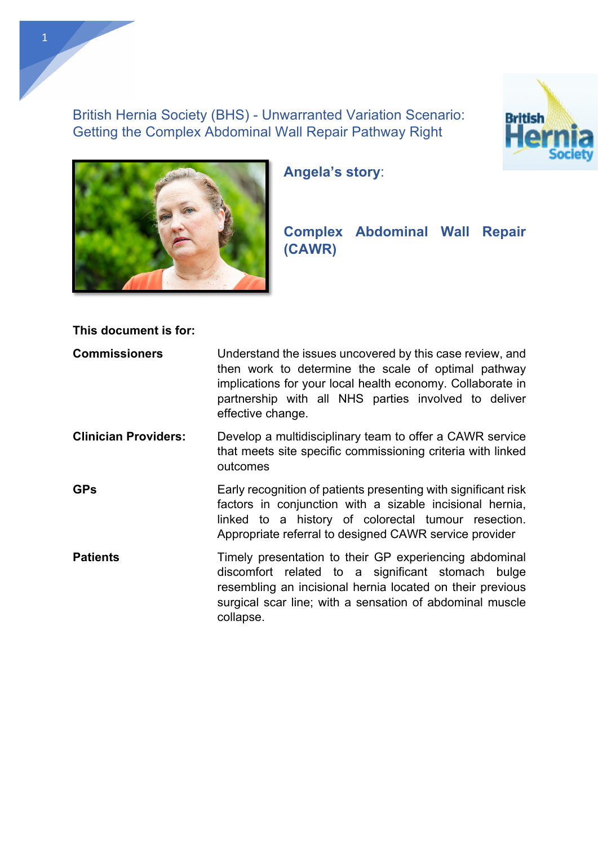British Hernia Society (BHS) - Unwarranted Variation Scenario: Getting the Complex Abdominal Wall Repair Pathway Right





**Angela's story**:

# **Complex Abdominal Wall Repair (CAWR)**

**This document is for:**

| <b>Commissioners</b>        | Understand the issues uncovered by this case review, and<br>then work to determine the scale of optimal pathway<br>implications for your local health economy. Collaborate in<br>partnership with all NHS parties involved to deliver<br>effective change. |  |
|-----------------------------|------------------------------------------------------------------------------------------------------------------------------------------------------------------------------------------------------------------------------------------------------------|--|
| <b>Clinician Providers:</b> | Develop a multidisciplinary team to offer a CAWR service<br>that meets site specific commissioning criteria with linked<br>outcomes                                                                                                                        |  |
| <b>GPs</b>                  | Early recognition of patients presenting with significant risk<br>factors in conjunction with a sizable incisional hernia,<br>linked to a history of colorectal tumour resection.<br>Appropriate referral to designed CAWR service provider                |  |
| <b>Patients</b>             | Timely presentation to their GP experiencing abdominal<br>discomfort related to a significant stomach bulge<br>resembling an incisional hernia located on their previous<br>surgical scar line; with a sensation of abdominal muscle<br>collapse.          |  |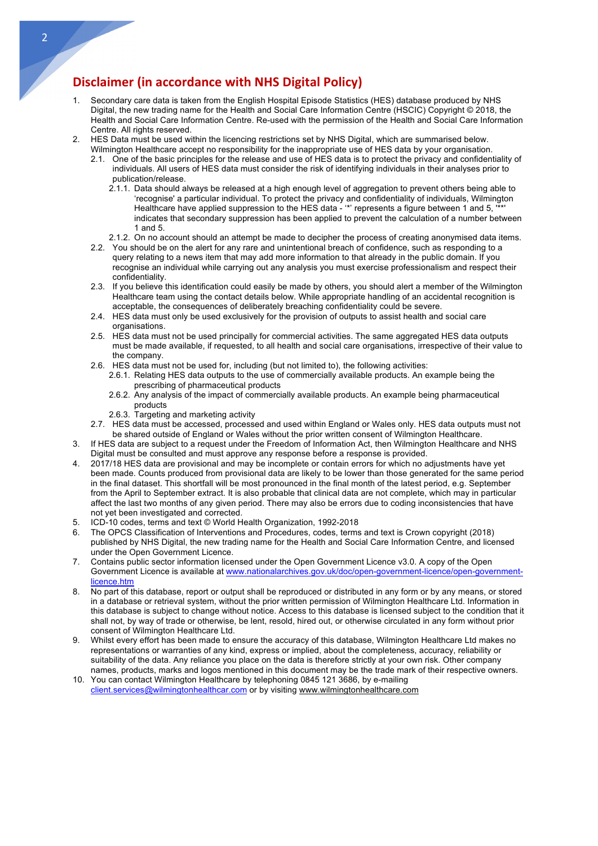## **Disclaimer (in accordance with NHS Digital Policy)**

- 1. Secondary care data is taken from the English Hospital Episode Statistics (HES) database produced by NHS Digital, the new trading name for the Health and Social Care Information Centre (HSCIC) Copyright © 2018, the Health and Social Care Information Centre. Re-used with the permission of the Health and Social Care Information Centre. All rights reserved.
- 2. HES Data must be used within the licencing restrictions set by NHS Digital, which are summarised below. Wilmington Healthcare accept no responsibility for the inappropriate use of HES data by your organisation.
	- 2.1. One of the basic principles for the release and use of HES data is to protect the privacy and confidentiality of individuals. All users of HES data must consider the risk of identifying individuals in their analyses prior to publication/release.
		- 2.1.1. Data should always be released at a high enough level of aggregation to prevent others being able to 'recognise' a particular individual. To protect the privacy and confidentiality of individuals, Wilmington Healthcare have applied suppression to the HES data - '\*' represents a figure between 1 and 5, '\*\*' indicates that secondary suppression has been applied to prevent the calculation of a number between 1 and 5.
		- 2.1.2. On no account should an attempt be made to decipher the process of creating anonymised data items.
	- 2.2. You should be on the alert for any rare and unintentional breach of confidence, such as responding to a query relating to a news item that may add more information to that already in the public domain. If you recognise an individual while carrying out any analysis you must exercise professionalism and respect their confidentiality.
	- 2.3. If you believe this identification could easily be made by others, you should alert a member of the Wilmington Healthcare team using the contact details below. While appropriate handling of an accidental recognition is acceptable, the consequences of deliberately breaching confidentiality could be severe.
	- 2.4. HES data must only be used exclusively for the provision of outputs to assist health and social care organisations.
	- 2.5. HES data must not be used principally for commercial activities. The same aggregated HES data outputs must be made available, if requested, to all health and social care organisations, irrespective of their value to the company.
	- 2.6. HES data must not be used for, including (but not limited to), the following activities:
		- 2.6.1. Relating HES data outputs to the use of commercially available products. An example being the prescribing of pharmaceutical products
		- 2.6.2. Any analysis of the impact of commercially available products. An example being pharmaceutical products
		- 2.6.3. Targeting and marketing activity
	- 2.7. HES data must be accessed, processed and used within England or Wales only. HES data outputs must not be shared outside of England or Wales without the prior written consent of Wilmington Healthcare.
- 3. If HES data are subject to a request under the Freedom of Information Act, then Wilmington Healthcare and NHS Digital must be consulted and must approve any response before a response is provided.
- 4. 2017/18 HES data are provisional and may be incomplete or contain errors for which no adjustments have yet been made. Counts produced from provisional data are likely to be lower than those generated for the same period in the final dataset. This shortfall will be most pronounced in the final month of the latest period, e.g. September from the April to September extract. It is also probable that clinical data are not complete, which may in particular affect the last two months of any given period. There may also be errors due to coding inconsistencies that have not yet been investigated and corrected.
- 5. ICD-10 codes, terms and text © World Health Organization, 1992-2018
- 6. The OPCS Classification of Interventions and Procedures, codes, terms and text is Crown copyright (2018) published by NHS Digital, the new trading name for the Health and Social Care Information Centre, and licensed under the Open Government Licence.
- 7. Contains public sector information licensed under the Open Government Licence v3.0. A copy of the Open Government Licence is available at www.nationalarchives.gov.uk/doc/open-government-licence/open-governmentlicence.htm
- 8. No part of this database, report or output shall be reproduced or distributed in any form or by any means, or stored in a database or retrieval system, without the prior written permission of Wilmington Healthcare Ltd. Information in this database is subject to change without notice. Access to this database is licensed subject to the condition that it shall not, by way of trade or otherwise, be lent, resold, hired out, or otherwise circulated in any form without prior consent of Wilmington Healthcare Ltd.
- 9. Whilst every effort has been made to ensure the accuracy of this database, Wilmington Healthcare Ltd makes no representations or warranties of any kind, express or implied, about the completeness, accuracy, reliability or suitability of the data. Any reliance you place on the data is therefore strictly at your own risk. Other company names, products, marks and logos mentioned in this document may be the trade mark of their respective owners.
- 10. You can contact Wilmington Healthcare by telephoning 0845 121 3686, by e-mailing client.services@wilmingtonhealthcar.com or by visiting www.wilmingtonhealthcare.com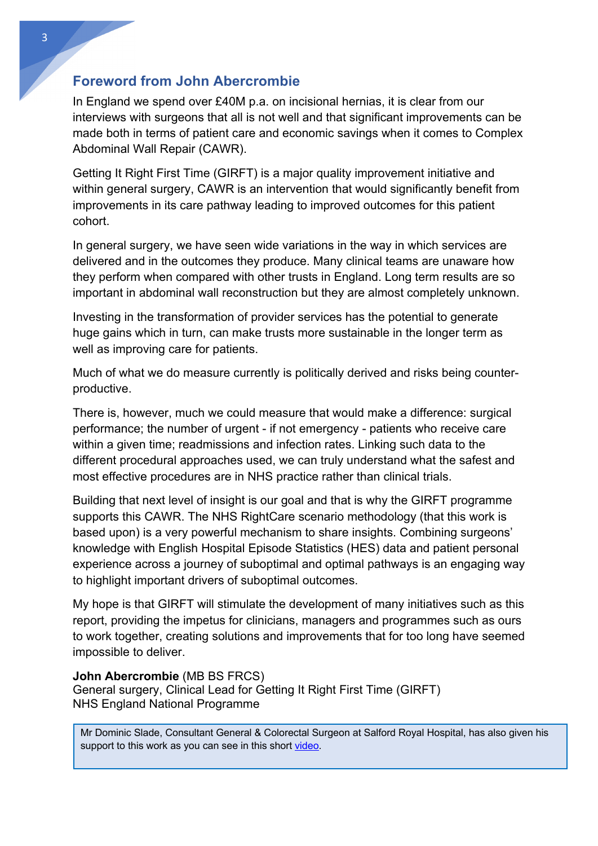# **Foreword from John Abercrombie**

In England we spend over £40M p.a. on incisional hernias, it is clear from our interviews with surgeons that all is not well and that significant improvements can be made both in terms of patient care and economic savings when it comes to Complex Abdominal Wall Repair (CAWR).

Getting It Right First Time (GIRFT) is a major quality improvement initiative and within general surgery, CAWR is an intervention that would significantly benefit from improvements in its care pathway leading to improved outcomes for this patient cohort.

In general surgery, we have seen wide variations in the way in which services are delivered and in the outcomes they produce. Many clinical teams are unaware how they perform when compared with other trusts in England. Long term results are so important in abdominal wall reconstruction but they are almost completely unknown.

Investing in the transformation of provider services has the potential to generate huge gains which in turn, can make trusts more sustainable in the longer term as well as improving care for patients.

Much of what we do measure currently is politically derived and risks being counterproductive.

There is, however, much we could measure that would make a difference: surgical performance; the number of urgent - if not emergency - patients who receive care within a given time; readmissions and infection rates. Linking such data to the different procedural approaches used, we can truly understand what the safest and most effective procedures are in NHS practice rather than clinical trials.

Building that next level of insight is our goal and that is why the GIRFT programme supports this CAWR. The NHS RightCare scenario methodology (that this work is based upon) is a very powerful mechanism to share insights. Combining surgeons' knowledge with English Hospital Episode Statistics (HES) data and patient personal experience across a journey of suboptimal and optimal pathways is an engaging way to highlight important drivers of suboptimal outcomes.

My hope is that GIRFT will stimulate the development of many initiatives such as this report, providing the impetus for clinicians, managers and programmes such as ours to work together, creating solutions and improvements that for too long have seemed impossible to deliver.

#### **John Abercrombie** (MB BS FRCS)

General surgery, Clinical Lead for Getting It Right First Time (GIRFT) NHS England National Programme

support to this work as you can see in this short video. Mr Dominic Slade, Consultant General & Colorectal Surgeon at Salford Royal Hospital, has also given his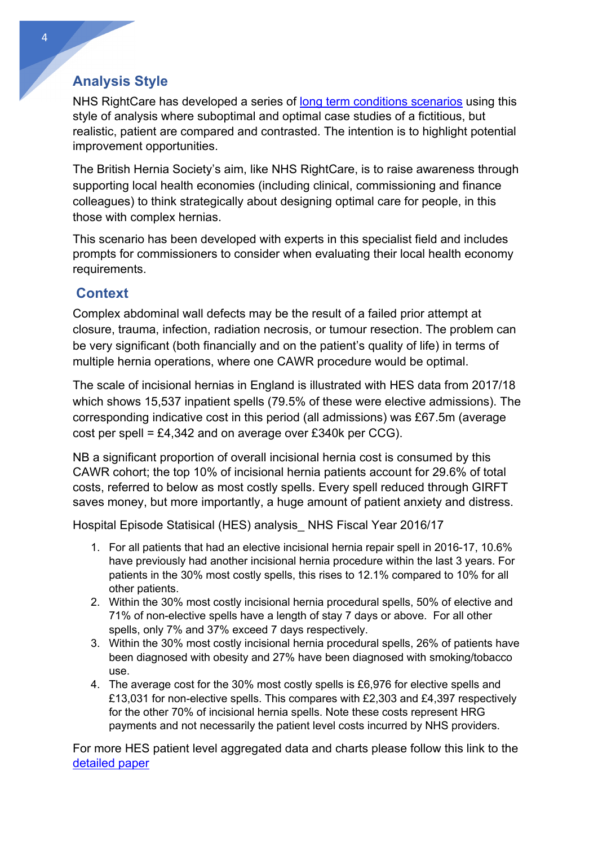# **Analysis Style**

NHS RightCare has developed a series of long term conditions scenarios using this style of analysis where suboptimal and optimal case studies of a fictitious, but realistic, patient are compared and contrasted. The intention is to highlight potential improvement opportunities.

The British Hernia Society's aim, like NHS RightCare, is to raise awareness through supporting local health economies (including clinical, commissioning and finance colleagues) to think strategically about designing optimal care for people, in this those with complex hernias.

This scenario has been developed with experts in this specialist field and includes prompts for commissioners to consider when evaluating their local health economy requirements.

# **Context**

Complex abdominal wall defects may be the result of a failed prior attempt at closure, trauma, infection, radiation necrosis, or tumour resection. The problem can be very significant (both financially and on the patient's quality of life) in terms of multiple hernia operations, where one CAWR procedure would be optimal.

The scale of incisional hernias in England is illustrated with HES data from 2017/18 which shows 15,537 inpatient spells (79.5% of these were elective admissions). The corresponding indicative cost in this period (all admissions) was £67.5m (average cost per spell = £4,342 and on average over £340k per CCG).

NB a significant proportion of overall incisional hernia cost is consumed by this CAWR cohort; the top 10% of incisional hernia patients account for 29.6% of total costs, referred to below as most costly spells. Every spell reduced through GIRFT saves money, but more importantly, a huge amount of patient anxiety and distress.

Hospital Episode Statisical (HES) analysis\_ NHS Fiscal Year 2016/17

- 1. For all patients that had an elective incisional hernia repair spell in 2016-17, 10.6% have previously had another incisional hernia procedure within the last 3 years. For patients in the 30% most costly spells, this rises to 12.1% compared to 10% for all other patients.
- 2. Within the 30% most costly incisional hernia procedural spells, 50% of elective and 71% of non-elective spells have a length of stay 7 days or above. For all other spells, only 7% and 37% exceed 7 days respectively.
- 3. Within the 30% most costly incisional hernia procedural spells, 26% of patients have been diagnosed with obesity and 27% have been diagnosed with smoking/tobacco use.
- 4. The average cost for the 30% most costly spells is £6,976 for elective spells and £13,031 for non-elective spells. This compares with £2,303 and £4,397 respectively for the other 70% of incisional hernia spells. Note these costs represent HRG payments and not necessarily the patient level costs incurred by NHS providers.

For more HES patient level aggregated data and charts please follow this link to the detailed paper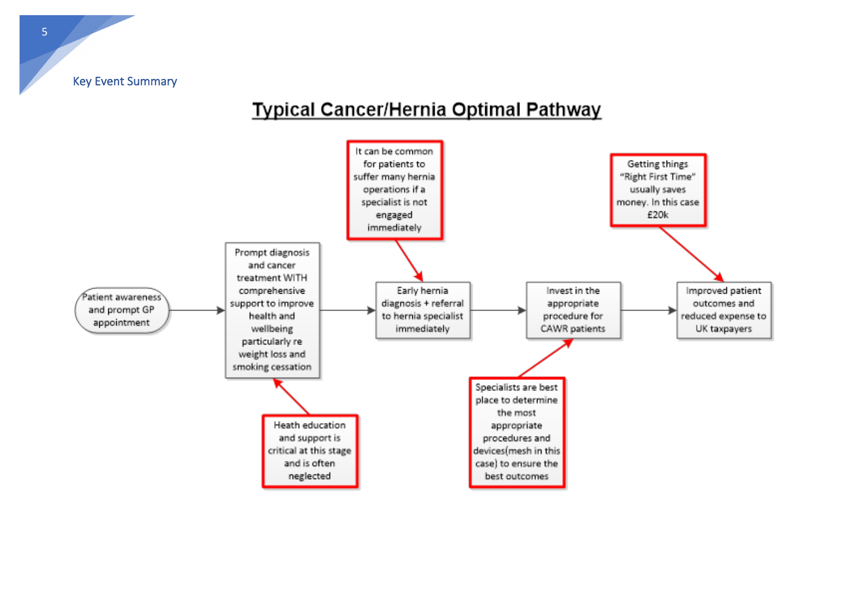Key Event Summary

# **Typical Cancer/Hernia Optimal Pathway**

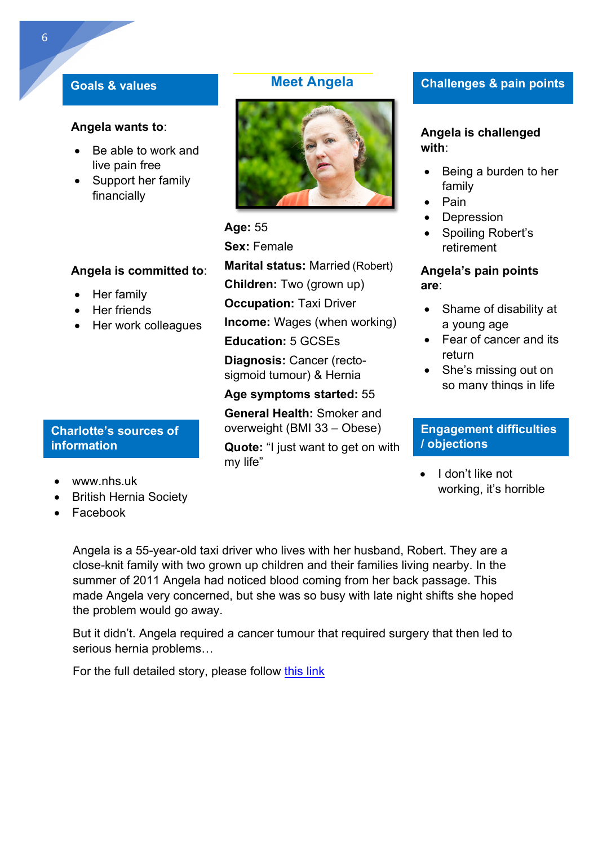#### **Goals & values**

#### **Angela wants to**:

- Be able to work and live pain free
- Support her family financially

### **Angela is committed to**:

- Her family
- Her friends
- Her work colleagues

#### **Charlotte's sources of information**

- www.nhs.uk
- British Hernia Society
- Facebook

# **Meet Angela**



#### **Age:** 55

**Sex:** Female

**Marital status:** Married (Robert) **Children:** Two (grown up) **Occupation:** Taxi Driver

**Income:** Wages (when working)

**Education:** 5 GCSEs

**Diagnosis:** Cancer (rectosigmoid tumour) & Hernia

## **Age symptoms started:** 55

**General Health:** Smoker and overweight (BMI 33 – Obese)

**Quote:** "I just want to get on with my life"

## **Challenges & pain points**

#### **Angela is challenged with**:

- Being a burden to her family
- Pain
- Depression
- Spoiling Robert's retirement

#### **Angela's pain points are**:

- Shame of disability at a young age
- Fear of cancer and its return
- She's missing out on so many things in life

### **Engagement difficulties / objections**

• I don't like not working, it's horrible

Angela is a 55-year-old taxi driver who lives with her husband, Robert. They are a close-knit family with two grown up children and their families living nearby. In the summer of 2011 Angela had noticed blood coming from her back passage. This made Angela very concerned, but she was so busy with late night shifts she hoped the problem would go away.

But it didn't. Angela required a cancer tumour that required surgery that then led to serious hernia problems…

For the full detailed story, please follow this link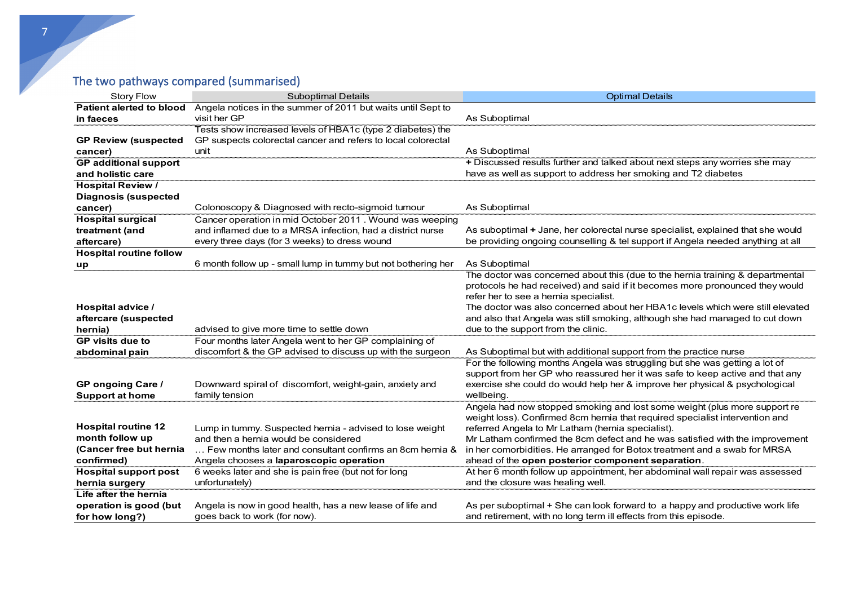# The two pathways compared (summarised)

| <b>Story Flow</b>               | <b>Suboptimal Details</b>                                                 | <b>Optimal Details</b>                                                                    |
|---------------------------------|---------------------------------------------------------------------------|-------------------------------------------------------------------------------------------|
| <b>Patient alerted to blood</b> | Angela notices in the summer of 2011 but waits until Sept to              |                                                                                           |
| in faeces                       | visit her GP                                                              | As Suboptimal                                                                             |
|                                 | Tests show increased levels of HBA1c (type 2 diabetes) the                |                                                                                           |
| <b>GP Review (suspected</b>     | GP suspects colorectal cancer and refers to local colorectal              |                                                                                           |
| cancer)                         | unit                                                                      | As Suboptimal                                                                             |
| <b>GP</b> additional support    |                                                                           | + Discussed results further and talked about next steps any worries she may               |
| and holistic care               |                                                                           | have as well as support to address her smoking and T2 diabetes                            |
| <b>Hospital Review /</b>        |                                                                           |                                                                                           |
| <b>Diagnosis (suspected</b>     |                                                                           |                                                                                           |
| cancer)                         | Colonoscopy & Diagnosed with recto-sigmoid tumour                         | As Suboptimal                                                                             |
| <b>Hospital surgical</b>        | Cancer operation in mid October 2011. Wound was weeping                   |                                                                                           |
| treatment (and                  | and inflamed due to a MRSA infection, had a district nurse                | As suboptimal + Jane, her colorectal nurse specialist, explained that she would           |
| aftercare)                      | every three days (for 3 weeks) to dress wound                             | be providing ongoing counselling & tel support if Angela needed anything at all           |
| <b>Hospital routine follow</b>  |                                                                           |                                                                                           |
| up                              | 6 month follow up - small lump in tummy but not bothering her             | As Suboptimal                                                                             |
|                                 |                                                                           | The doctor was concerned about this (due to the hernia training & departmental            |
|                                 |                                                                           | protocols he had received) and said if it becomes more pronounced they would              |
|                                 |                                                                           | refer her to see a hernia specialist.                                                     |
| Hospital advice /               |                                                                           | The doctor was also concerned about her HBA1c levels which were still elevated            |
| aftercare (suspected            |                                                                           | and also that Angela was still smoking, although she had managed to cut down              |
| hernia)                         | advised to give more time to settle down                                  | due to the support from the clinic.                                                       |
| <b>GP</b> visits due to         | Four months later Angela went to her GP complaining of                    |                                                                                           |
| abdominal pain                  | discomfort & the GP advised to discuss up with the surgeon                | As Suboptimal but with additional support from the practice nurse                         |
|                                 |                                                                           | For the following months Angela was struggling but she was getting a lot of               |
|                                 |                                                                           | support from her GP who reassured her it was safe to keep active and that any             |
| <b>GP</b> ongoing Care /        | Downward spiral of discomfort, weight-gain, anxiety and<br>family tension | exercise she could do would help her & improve her physical & psychological<br>wellbeing. |
| <b>Support at home</b>          |                                                                           | Angela had now stopped smoking and lost some weight (plus more support re                 |
|                                 |                                                                           | weight loss). Confirmed 8cm hernia that required specialist intervention and              |
| <b>Hospital routine 12</b>      | Lump in tummy. Suspected hernia - advised to lose weight                  | referred Angela to Mr Latham (hernia specialist).                                         |
| month follow up                 | and then a hernia would be considered                                     | Mr Latham confirmed the 8cm defect and he was satisfied with the improvement              |
| (Cancer free but hernia         | Few months later and consultant confirms an 8cm hernia &                  | in her comorbidities. He arranged for Botox treatment and a swab for MRSA                 |
| confirmed)                      | Angela chooses a laparoscopic operation                                   | ahead of the open posterior component separation.                                         |
| <b>Hospital support post</b>    | 6 weeks later and she is pain free (but not for long                      | At her 6 month follow up appointment, her abdominal wall repair was assessed              |
| hernia surgery                  | unfortunately)                                                            | and the closure was healing well.                                                         |
| Life after the hernia           |                                                                           |                                                                                           |
| operation is good (but          | Angela is now in good health, has a new lease of life and                 | As per suboptimal + She can look forward to a happy and productive work life              |
| for how long?)                  | goes back to work (for now).                                              | and retirement, with no long term ill effects from this episode.                          |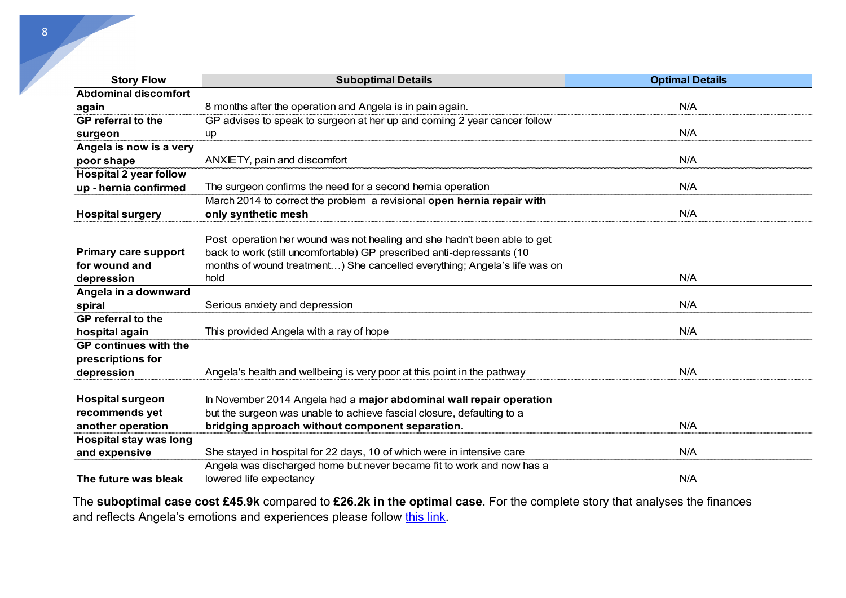| <b>Story Flow</b>             | <b>Suboptimal Details</b>                                                 | <b>Optimal Details</b> |
|-------------------------------|---------------------------------------------------------------------------|------------------------|
| <b>Abdominal discomfort</b>   |                                                                           |                        |
| again                         | 8 months after the operation and Angela is in pain again.                 | N/A                    |
| GP referral to the            | GP advises to speak to surgeon at her up and coming 2 year cancer follow  |                        |
| surgeon                       | up                                                                        | N/A                    |
| Angela is now is a very       |                                                                           |                        |
| poor shape                    | ANXIETY, pain and discomfort                                              | N/A                    |
| <b>Hospital 2 year follow</b> |                                                                           |                        |
| up - hernia confirmed         | The surgeon confirms the need for a second hernia operation               | N/A                    |
|                               | March 2014 to correct the problem a revisional open hernia repair with    |                        |
| <b>Hospital surgery</b>       | only synthetic mesh                                                       | N/A                    |
|                               |                                                                           |                        |
|                               | Post operation her wound was not healing and she hadn't been able to get  |                        |
| <b>Primary care support</b>   | back to work (still uncomfortable) GP prescribed anti-depressants (10     |                        |
| for wound and                 | months of wound treatment) She cancelled everything; Angela's life was on |                        |
| depression                    | hold                                                                      | N/A                    |
| Angela in a downward          |                                                                           |                        |
| spiral                        | Serious anxiety and depression                                            | N/A                    |
| <b>GP</b> referral to the     |                                                                           |                        |
| hospital again                | This provided Angela with a ray of hope                                   | N/A                    |
| <b>GP</b> continues with the  |                                                                           |                        |
| prescriptions for             |                                                                           |                        |
| depression                    | Angela's health and wellbeing is very poor at this point in the pathway   | N/A                    |
|                               |                                                                           |                        |
| <b>Hospital surgeon</b>       | In November 2014 Angela had a major abdominal wall repair operation       |                        |
| recommends yet                | but the surgeon was unable to achieve fascial closure, defaulting to a    |                        |
| another operation             | bridging approach without component separation.                           | N/A                    |
| <b>Hospital stay was long</b> |                                                                           |                        |
| and expensive                 | She stayed in hospital for 22 days, 10 of which were in intensive care    | N/A                    |
|                               | Angela was discharged home but never became fit to work and now has a     |                        |
| The future was bleak          | lowered life expectancy                                                   | N/A                    |

The **suboptimal case cost £45.9k** compared to **£26.2k in the optimal case**. For the complete story that analyses the finances and reflects Angela's emotions and experiences please follow this link.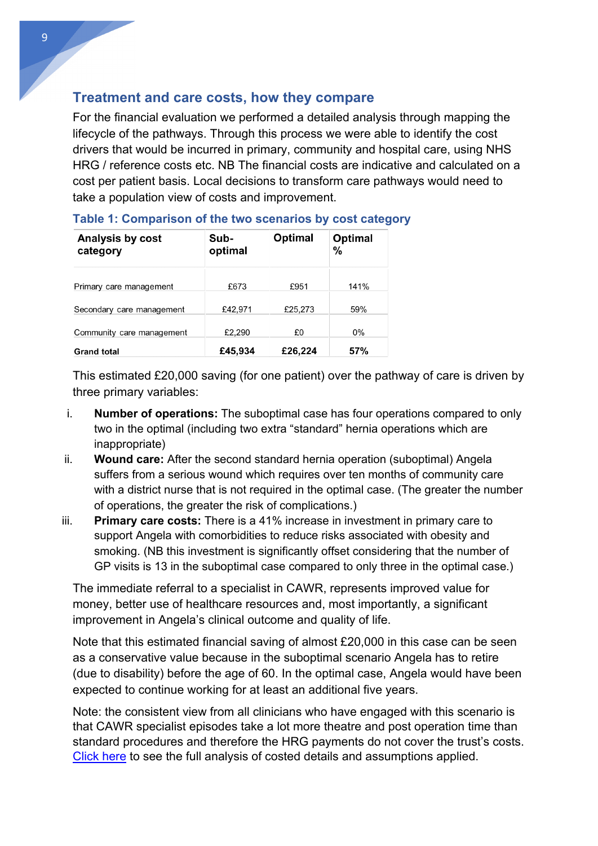# **Treatment and care costs, how they compare**

For the financial evaluation we performed a detailed analysis through mapping the lifecycle of the pathways. Through this process we were able to identify the cost drivers that would be incurred in primary, community and hospital care, using NHS HRG / reference costs etc. NB The financial costs are indicative and calculated on a cost per patient basis. Local decisions to transform care pathways would need to take a population view of costs and improvement.

| Analysis by cost<br>category | Sub-<br>optimal | Optimal | Optimal<br>% |
|------------------------------|-----------------|---------|--------------|
| Primary care management      | £673            | £951    | 141%         |
| Secondary care management    | £42,971         | £25,273 | 59%          |
| Community care management    | £2,290          | £0      | $0\%$        |
| <b>Grand total</b>           | £45,934         | £26,224 | 57%          |

### **Table 1: Comparison of the two scenarios by cost category**

This estimated £20,000 saving (for one patient) over the pathway of care is driven by three primary variables:

- i. **Number of operations:** The suboptimal case has four operations compared to only two in the optimal (including two extra "standard" hernia operations which are inappropriate)
- ii. **Wound care:** After the second standard hernia operation (suboptimal) Angela suffers from a serious wound which requires over ten months of community care with a district nurse that is not required in the optimal case. (The greater the number of operations, the greater the risk of complications.)
- iii. **Primary care costs:** There is a 41% increase in investment in primary care to support Angela with comorbidities to reduce risks associated with obesity and smoking. (NB this investment is significantly offset considering that the number of GP visits is 13 in the suboptimal case compared to only three in the optimal case.)

The immediate referral to a specialist in CAWR, represents improved value for money, better use of healthcare resources and, most importantly, a significant improvement in Angela's clinical outcome and quality of life.

Note that this estimated financial saving of almost £20,000 in this case can be seen as a conservative value because in the suboptimal scenario Angela has to retire (due to disability) before the age of 60. In the optimal case, Angela would have been expected to continue working for at least an additional five years.

Note: the consistent view from all clinicians who have engaged with this scenario is that CAWR specialist episodes take a lot more theatre and post operation time than standard procedures and therefore the HRG payments do not cover the trust's costs. Click here to see the full analysis of costed details and assumptions applied.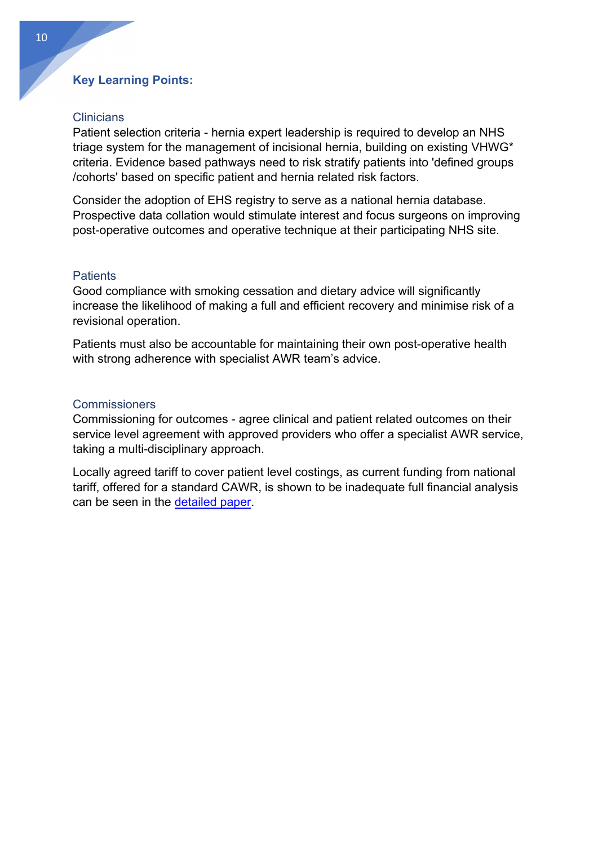#### **Key Learning Points:**

#### **Clinicians**

Patient selection criteria - hernia expert leadership is required to develop an NHS triage system for the management of incisional hernia, building on existing VHWG\* criteria. Evidence based pathways need to risk stratify patients into 'defined groups /cohorts' based on specific patient and hernia related risk factors.

Consider the adoption of EHS registry to serve as a national hernia database. Prospective data collation would stimulate interest and focus surgeons on improving post-operative outcomes and operative technique at their participating NHS site.

#### **Patients**

Good compliance with smoking cessation and dietary advice will significantly increase the likelihood of making a full and efficient recovery and minimise risk of a revisional operation.

Patients must also be accountable for maintaining their own post-operative health with strong adherence with specialist AWR team's advice.

#### Commissioners

Commissioning for outcomes - agree clinical and patient related outcomes on their service level agreement with approved providers who offer a specialist AWR service, taking a multi-disciplinary approach.

Locally agreed tariff to cover patient level costings, as current funding from national tariff, offered for a standard CAWR, is shown to be inadequate full financial analysis can be seen in the detailed paper.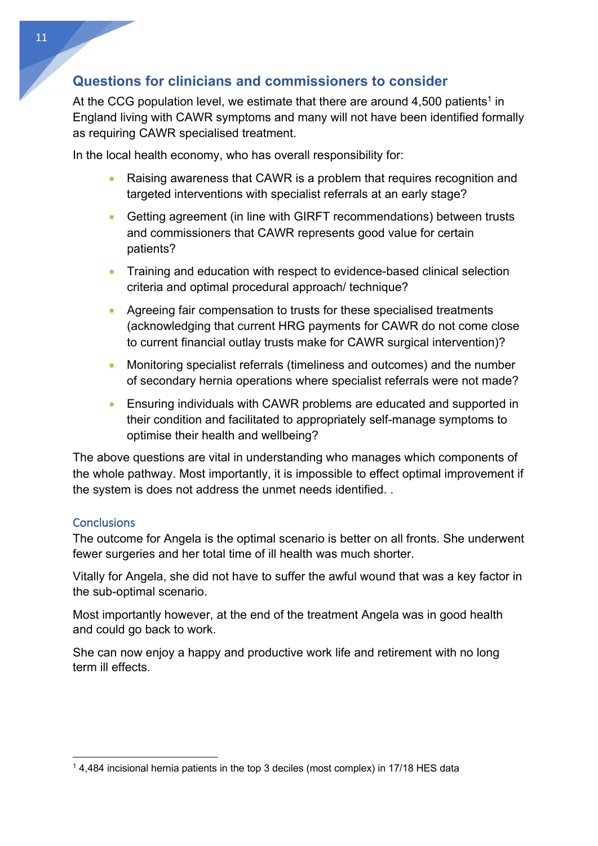# **Questions for clinicians and commissioners to consider**

At the CCG population level, we estimate that there are around  $4,500$  patients<sup>1</sup> in England living with CAWR symptoms and many will not have been identified formally as requiring CAWR specialised treatment.

In the local health economy, who has overall responsibility for:

- Raising awareness that CAWR is a problem that requires recognition and targeted interventions with specialist referrals at an early stage?
- Getting agreement (in line with GIRFT recommendations) between trusts and commissioners that CAWR represents good value for certain patients?
- Training and education with respect to evidence-based clinical selection criteria and optimal procedural approach/ technique?
- Agreeing fair compensation to trusts for these specialised treatments (acknowledging that current HRG payments for CAWR do not come close to current financial outlay trusts make for CAWR surgical intervention)?
- Monitoring specialist referrals (timeliness and outcomes) and the number of secondary hernia operations where specialist referrals were not made?
- Ensuring individuals with CAWR problems are educated and supported in their condition and facilitated to appropriately self-manage symptoms to optimise their health and wellbeing?

The above questions are vital in understanding who manages which components of the whole pathway. Most importantly, it is impossible to effect optimal improvement if the system is does not address the unmet needs identified. .

#### **Conclusions**

The outcome for Angela is the optimal scenario is better on all fronts. She underwent fewer surgeries and her total time of ill health was much shorter.

Vitally for Angela, she did not have to suffer the awful wound that was a key factor in the sub-optimal scenario.

Most importantly however, at the end of the treatment Angela was in good health and could go back to work.

She can now enjoy a happy and productive work life and retirement with no long term ill effects.

<sup>&</sup>lt;sup>1</sup> 4,484 incisional hernia patients in the top 3 deciles (most complex) in 17/18 HES data